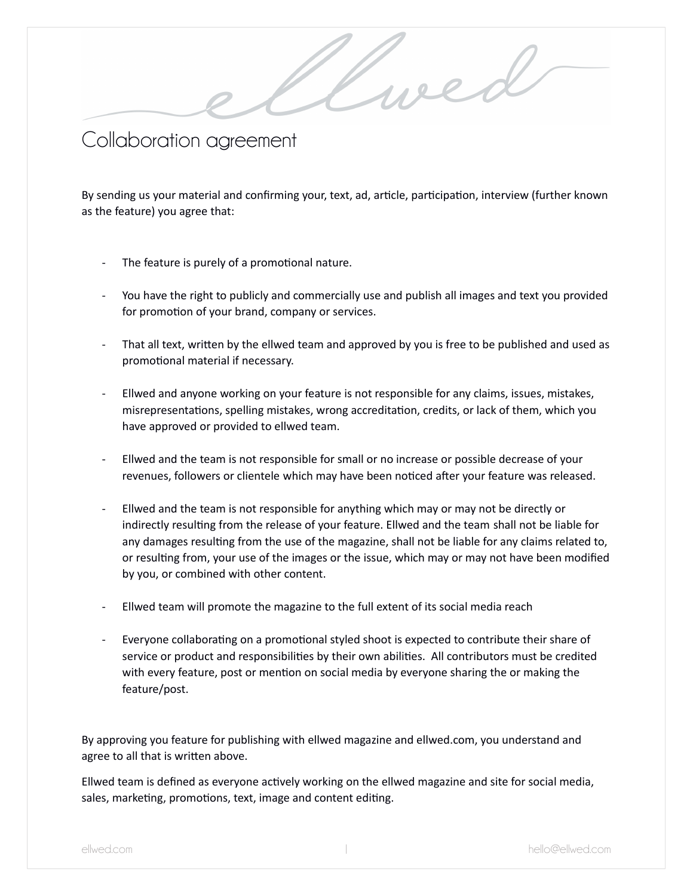Collaboration agreement

By sending us your material and confirming your, text, ad, article, participation, interview (further known as the feature) you agree that:

.<br>L

weed

- The feature is purely of a promotional nature.
- You have the right to publicly and commercially use and publish all images and text you provided for promotion of your brand, company or services.
- That all text, written by the ellwed team and approved by you is free to be published and used as promotional material if necessary.
- Ellwed and anyone working on your feature is not responsible for any claims, issues, mistakes, misrepresentations, spelling mistakes, wrong accreditation, credits, or lack of them, which you have approved or provided to ellwed team.
- Ellwed and the team is not responsible for small or no increase or possible decrease of your revenues, followers or clientele which may have been noticed after your feature was released.
- Ellwed and the team is not responsible for anything which may or may not be directly or indirectly resulting from the release of your feature. Ellwed and the team shall not be liable for any damages resulting from the use of the magazine, shall not be liable for any claims related to, or resulting from, your use of the images or the issue, which may or may not have been modified by you, or combined with other content.
- Ellwed team will promote the magazine to the full extent of its social media reach
- Everyone collaborating on a promotional styled shoot is expected to contribute their share of service or product and responsibilities by their own abilities. All contributors must be credited with every feature, post or mention on social media by everyone sharing the or making the feature/post.

By approving you feature for publishing with ellwed magazine and ellwed.com, you understand and agree to all that is written above.

Ellwed team is defined as everyone actively working on the ellwed magazine and site for social media, sales, marketing, promotions, text, image and content editing.